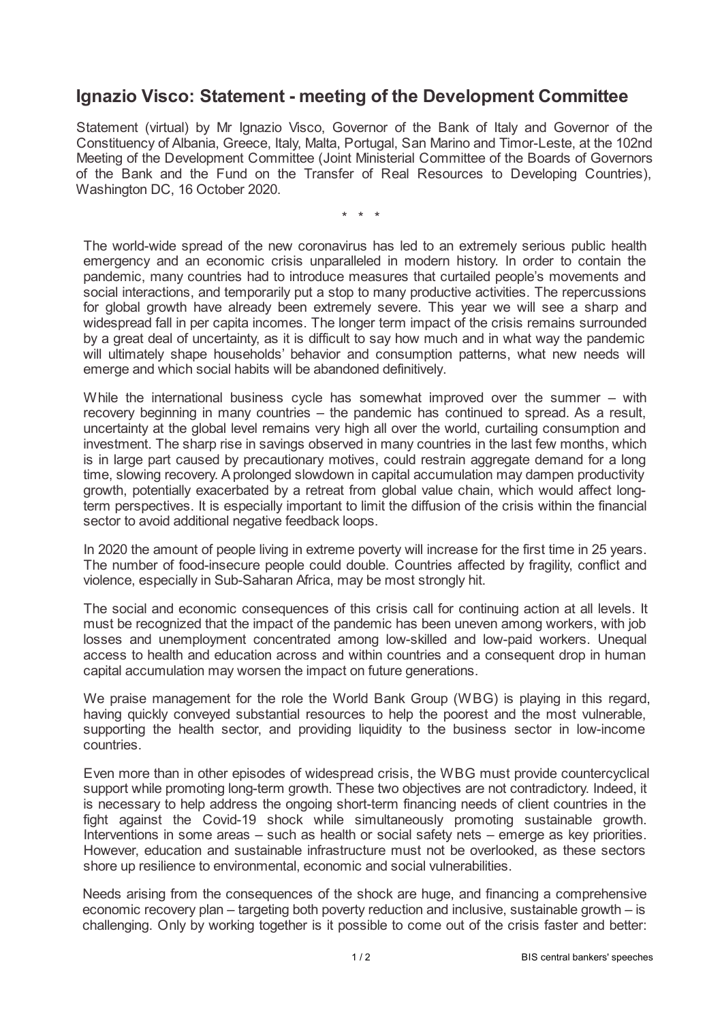## **Ignazio Visco: Statement - meeting of the Development Committee**

Statement (virtual) by Mr Ignazio Visco, Governor of the Bank of Italy and Governor of the Constituency of Albania, Greece, Italy, Malta, Portugal, San Marino and Timor-Leste, at the 102nd Meeting of the Development Committee (Joint Ministerial Committee of the Boards of Governors of the Bank and the Fund on the Transfer of Real Resources to Developing Countries), Washington DC, 16 October 2020.

\* \* \*

The world-wide spread of the new coronavirus has led to an extremely serious public health emergency and an economic crisis unparalleled in modern history. In order to contain the pandemic, many countries had to introduce measures that curtailed people's movements and social interactions, and temporarily put a stop to many productive activities. The repercussions for global growth have already been extremely severe. This year we will see a sharp and widespread fall in per capita incomes. The longer term impact of the crisis remains surrounded by a great deal of uncertainty, as it is difficult to say how much and in what way the pandemic will ultimately shape households' behavior and consumption patterns, what new needs will emerge and which social habits will be abandoned definitively.

While the international business cycle has somewhat improved over the summer – with recovery beginning in many countries – the pandemic has continued to spread. As a result, uncertainty at the global level remains very high all over the world, curtailing consumption and investment. The sharp rise in savings observed in many countries in the last few months, which is in large part caused by precautionary motives, could restrain aggregate demand for a long time, slowing recovery. A prolonged slowdown in capital accumulation may dampen productivity growth, potentially exacerbated by a retreat from global value chain, which would affect longterm perspectives. It is especially important to limit the diffusion of the crisis within the financial sector to avoid additional negative feedback loops.

In 2020 the amount of people living in extreme poverty will increase for the first time in 25 years. The number of food-insecure people could double. Countries affected by fragility, conflict and violence, especially in Sub-Saharan Africa, may be most strongly hit.

The social and economic consequences of this crisis call for continuing action at all levels. It must be recognized that the impact of the pandemic has been uneven among workers, with job losses and unemployment concentrated among low-skilled and low-paid workers. Unequal access to health and education across and within countries and a consequent drop in human capital accumulation may worsen the impact on future generations.

We praise management for the role the World Bank Group (WBG) is playing in this regard, having quickly conveyed substantial resources to help the poorest and the most vulnerable, supporting the health sector, and providing liquidity to the business sector in low-income countries.

Even more than in other episodes of widespread crisis, the WBG must provide countercyclical support while promoting long-term growth. These two objectives are not contradictory. Indeed, it is necessary to help address the ongoing short-term financing needs of client countries in the fight against the Covid-19 shock while simultaneously promoting sustainable growth. Interventions in some areas – such as health or social safety nets – emerge as key priorities. However, education and sustainable infrastructure must not be overlooked, as these sectors shore up resilience to environmental, economic and social vulnerabilities.

Needs arising from the consequences of the shock are huge, and financing a comprehensive economic recovery plan – targeting both poverty reduction and inclusive, sustainable growth – is challenging. Only by working together is it possible to come out of the crisis faster and better: